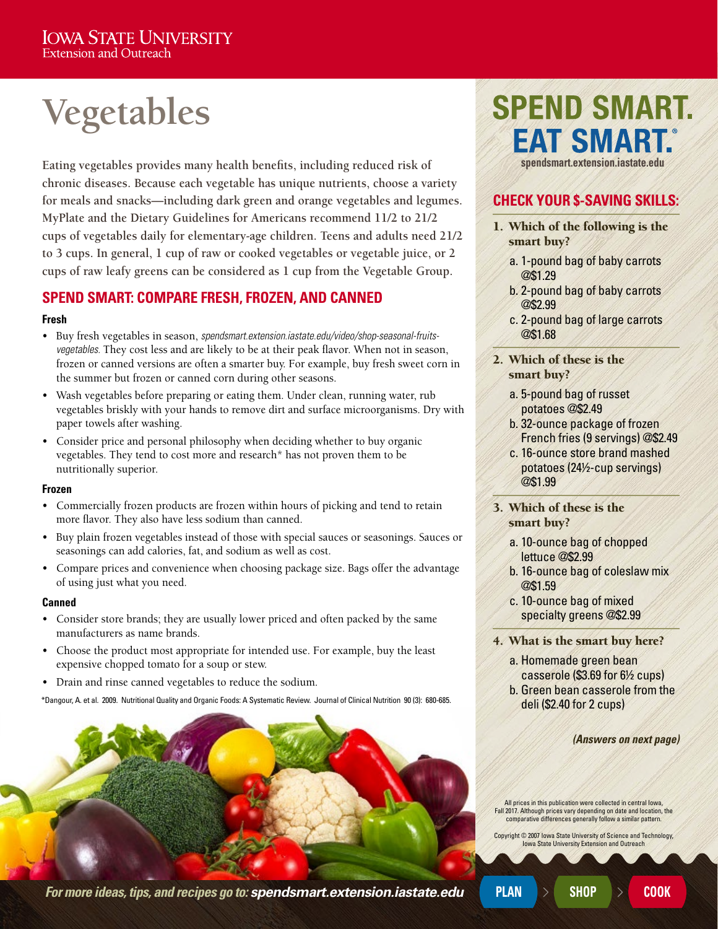# **Vegetables**

**Eating vegetables provides many health benefits, including reduced risk of chronic diseases. Because each vegetable has unique nutrients, choose a variety for meals and snacks—including dark green and orange vegetables and legumes. MyPlate and the Dietary Guidelines for Americans recommend 11/2 to 21/2 cups of vegetables daily for elementary-age children. Teens and adults need 21/2 to 3 cups. In general, 1 cup of raw or cooked vegetables or vegetable juice, or 2 cups of raw leafy greens can be considered as 1 cup from the Vegetable Group.**

### **SPEND SMART: COMPARE FRESH, FROZEN, AND CANNED**

#### **Fresh**

- Buy fresh vegetables in season, *[spendsmart.extension.iastate.edu/video/shop-seasonal-fruits](http://spendsmart.extension.iastate.edu/video/shop-seasonal-fruits-vegetables/)[vegetables.](http://spendsmart.extension.iastate.edu/video/shop-seasonal-fruits-vegetables/)* They cost less and are likely to be at their peak flavor. When not in season, frozen or canned versions are often a smarter buy. For example, buy fresh sweet corn in the summer but frozen or canned corn during other seasons.
- Wash vegetables before preparing or eating them. Under clean, running water, rub vegetables briskly with your hands to remove dirt and surface microorganisms. Dry with paper towels after washing.
- Consider price and personal philosophy when deciding whether to buy organic vegetables. They tend to cost more and research\* has not proven them to be nutritionally superior.

#### **Frozen**

- Commercially frozen products are frozen within hours of picking and tend to retain more flavor. They also have less sodium than canned.
- Buy plain frozen vegetables instead of those with special sauces or seasonings. Sauces or seasonings can add calories, fat, and sodium as well as cost.
- Compare prices and convenience when choosing package size. Bags offer the advantage of using just what you need.

#### **Canned**

- Consider store brands; they are usually lower priced and often packed by the same manufacturers as name brands.
- Choose the product most appropriate for intended use. For example, buy the least expensive chopped tomato for a soup or stew.
- Drain and rinse canned vegetables to reduce the sodium.

\*Dangour, A. et al. 2009. Nutritional Quality and Organic Foods: A Systematic Review. Journal of Clinical Nutrition 90 (3): 680-685.



## **SPEND SMART. EAT SMART.® [spendsmart.extension.iastate.edu](http://spendsmart.extension.iastate.edu/)**

## **CHECK YOUR \$-SAVING SKILLS:**

- 1. Which of the following is the smart buy?
	- a. 1-pound bag of baby carrots @\$1.29
	- b. 2-pound bag of baby carrots @\$2.99
	- c. 2-pound bag of large carrots @\$1.68
- 2. Which of these is the smart buy?
	- a. 5-pound bag of russet potatoes @\$2.49
	- b. 32-ounce package of frozen French fries (9 servings) @\$2.49
	- c. 16-ounce store brand mashed potatoes (24½-cup servings) @\$1.99
- 3. Which of these is the smart buy?
	- a. 10-ounce bag of chopped lettuce @\$2.99
	- b. 16-ounce bag of coleslaw mix @\$1.59
	- c. 10-ounce bag of mixed specialty greens @\$2.99
- 4. What is the smart buy here?
	- a. Homemade green bean casserole (\$3.69 for 6½ cups)
	- b. Green bean casserole from the deli (\$2.40 for 2 cups)

*(Answers on next page)*

All prices in this publication were collected in central Iowa, Fall 2017. Although prices vary depending on date and location, the comparative differences generally follow a similar pattern.

Copyright © 2007 Iowa State University of Science and Technology, **Iowa State University Extension and Outreach** 

*For more ideas, tips, and recipes go to: [spendsmart.extension.iastate.edu](http://spendsmart.extension.iastate.edu/)* **PLAN SHOP COOK**